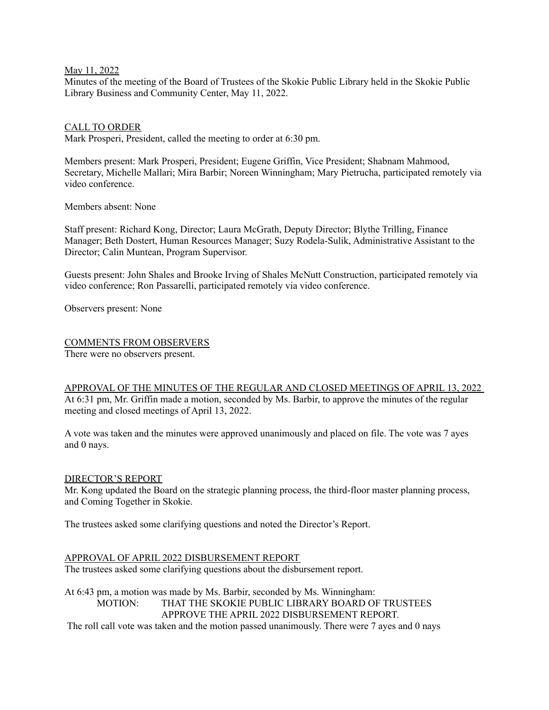#### May 11, 2022

Minutes of the meeting of the Board of Trustees of the Skokie Public Library held in the Skokie Public Library Business and Community Center, May 11, 2022.

#### CALL TO ORDER

Mark Prosperi, President, called the meeting to order at 6:30 pm.

Members present: Mark Prosperi, President; Eugene Griffin, Vice President; Shabnam Mahmood, Secretary, Michelle Mallari; Mira Barbir; Noreen Winningham; Mary Pietrucha, participated remotely via video conference.

Members absent: None

Staff present: Richard Kong, Director; Laura McGrath, Deputy Director; Blythe Trilling, Finance Manager; Beth Dostert, Human Resources Manager; Suzy Rodela-Sulik, Administrative Assistant to the Director; Calin Muntean, Program Supervisor.

Guests present: John Shales and Brooke Irving of Shales McNutt Construction, participated remotely via video conference; Ron Passarelli, participated remotely via video conference.

Observers present: None

### COMMENTS FROM OBSERVERS

There were no observers present.

### APPROVAL OF THE MINUTES OF THE REGULAR AND CLOSED MEETINGS OF APRIL 13, 2022

At 6:31 pm, Mr. Griffin made a motion, seconded by Ms. Barbir, to approve the minutes of the regular meeting and closed meetings of April 13, 2022.

A vote was taken and the minutes were approved unanimously and placed on file. The vote was 7 ayes and 0 nays.

### DIRECTOR'S REPORT

Mr. Kong updated the Board on the strategic planning process, the third-floor master planning process, and Coming Together in Skokie.

The trustees asked some clarifying questions and noted the Director's Report.

### APPROVAL OF APRIL 2022 DISBURSEMENT REPORT

The trustees asked some clarifying questions about the disbursement report.

At 6:43 pm, a motion was made by Ms. Barbir, seconded by Ms. Winningham: MOTION: THAT THE SKOKIE PUBLIC LIBRARY BOARD OF TRUSTEES APPROVE THE APRIL 2022 DISBURSEMENT REPORT. The roll call vote was taken and the motion passed unanimously. There were 7 ayes and 0 nays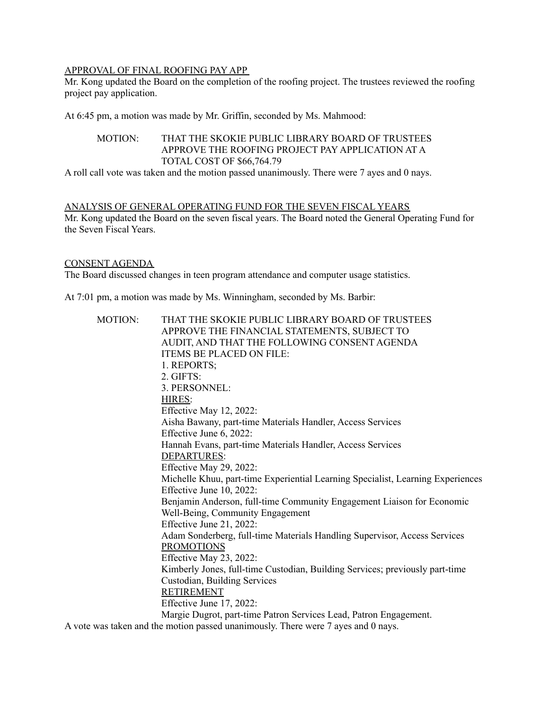## APPROVAL OF FINAL ROOFING PAY APP

Mr. Kong updated the Board on the completion of the roofing project. The trustees reviewed the roofing project pay application.

At 6:45 pm, a motion was made by Mr. Griffin, seconded by Ms. Mahmood:

# MOTION: THAT THE SKOKIE PUBLIC LIBRARY BOARD OF TRUSTEES APPROVE THE ROOFING PROJECT PAY APPLICATION AT A TOTAL COST OF \$66,764.79

A roll call vote was taken and the motion passed unanimously. There were 7 ayes and 0 nays.

#### ANALYSIS OF GENERAL OPERATING FUND FOR THE SEVEN FISCAL YEARS

Mr. Kong updated the Board on the seven fiscal years. The Board noted the General Operating Fund for the Seven Fiscal Years.

## CONSENT AGENDA

The Board discussed changes in teen program attendance and computer usage statistics.

At 7:01 pm, a motion was made by Ms. Winningham, seconded by Ms. Barbir:

| <b>MOTION:</b>                                                                    | THAT THE SKOKIE PUBLIC LIBRARY BOARD OF TRUSTEES                                |
|-----------------------------------------------------------------------------------|---------------------------------------------------------------------------------|
|                                                                                   | APPROVE THE FINANCIAL STATEMENTS, SUBJECT TO                                    |
|                                                                                   | AUDIT, AND THAT THE FOLLOWING CONSENT AGENDA                                    |
|                                                                                   | ITEMS BE PLACED ON FILE:                                                        |
|                                                                                   | 1. REPORTS;                                                                     |
|                                                                                   | 2. GIFTS:                                                                       |
|                                                                                   | 3. PERSONNEL:                                                                   |
|                                                                                   | HIRES:                                                                          |
|                                                                                   | Effective May 12, 2022:                                                         |
|                                                                                   | Aisha Bawany, part-time Materials Handler, Access Services                      |
|                                                                                   | Effective June 6, 2022:                                                         |
|                                                                                   | Hannah Evans, part-time Materials Handler, Access Services                      |
|                                                                                   | DEPARTURES:                                                                     |
|                                                                                   | Effective May 29, 2022:                                                         |
|                                                                                   | Michelle Khuu, part-time Experiential Learning Specialist, Learning Experiences |
|                                                                                   | Effective June 10, 2022:                                                        |
|                                                                                   | Benjamin Anderson, full-time Community Engagement Liaison for Economic          |
|                                                                                   | Well-Being, Community Engagement                                                |
|                                                                                   | Effective June 21, 2022:                                                        |
|                                                                                   | Adam Sonderberg, full-time Materials Handling Supervisor, Access Services       |
|                                                                                   | <b>PROMOTIONS</b>                                                               |
|                                                                                   | Effective May 23, 2022:                                                         |
|                                                                                   | Kimberly Jones, full-time Custodian, Building Services; previously part-time    |
|                                                                                   | Custodian, Building Services                                                    |
|                                                                                   | <b>RETIREMENT</b>                                                               |
|                                                                                   | Effective June 17, 2022:                                                        |
|                                                                                   | Margie Dugrot, part-time Patron Services Lead, Patron Engagement.               |
| A vote was taken and the motion passed unanimously. There were 7 ayes and 0 nays. |                                                                                 |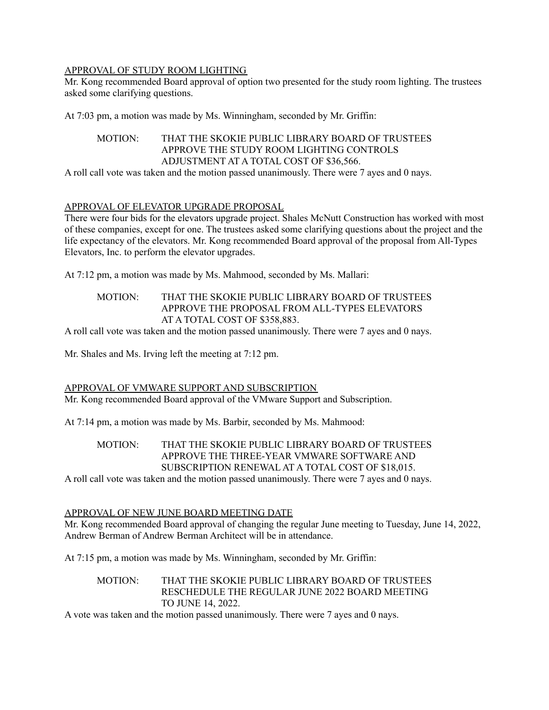## APPROVAL OF STUDY ROOM LIGHTING

Mr. Kong recommended Board approval of option two presented for the study room lighting. The trustees asked some clarifying questions.

At 7:03 pm, a motion was made by Ms. Winningham, seconded by Mr. Griffin:

# MOTION: THAT THE SKOKIE PUBLIC LIBRARY BOARD OF TRUSTEES APPROVE THE STUDY ROOM LIGHTING CONTROLS ADJUSTMENT AT A TOTAL COST OF \$36,566.

A roll call vote was taken and the motion passed unanimously. There were 7 ayes and 0 nays.

## APPROVAL OF ELEVATOR UPGRADE PROPOSAL

There were four bids for the elevators upgrade project. Shales McNutt Construction has worked with most of these companies, except for one. The trustees asked some clarifying questions about the project and the life expectancy of the elevators. Mr. Kong recommended Board approval of the proposal from All-Types Elevators, Inc. to perform the elevator upgrades.

At 7:12 pm, a motion was made by Ms. Mahmood, seconded by Ms. Mallari:

## MOTION: THAT THE SKOKIE PUBLIC LIBRARY BOARD OF TRUSTEES APPROVE THE PROPOSAL FROM ALL-TYPES ELEVATORS AT A TOTAL COST OF \$358,883.

A roll call vote was taken and the motion passed unanimously. There were 7 ayes and 0 nays.

Mr. Shales and Ms. Irving left the meeting at 7:12 pm.

### APPROVAL OF VMWARE SUPPORT AND SUBSCRIPTION

Mr. Kong recommended Board approval of the VMware Support and Subscription.

At 7:14 pm, a motion was made by Ms. Barbir, seconded by Ms. Mahmood:

# MOTION: THAT THE SKOKIE PUBLIC LIBRARY BOARD OF TRUSTEES APPROVE THE THREE-YEAR VMWARE SOFTWARE AND SUBSCRIPTION RENEWAL AT A TOTAL COST OF \$18,015.

A roll call vote was taken and the motion passed unanimously. There were 7 ayes and 0 nays.

### APPROVAL OF NEW JUNE BOARD MEETING DATE

Mr. Kong recommended Board approval of changing the regular June meeting to Tuesday, June 14, 2022, Andrew Berman of Andrew Berman Architect will be in attendance.

At 7:15 pm, a motion was made by Ms. Winningham, seconded by Mr. Griffin:

#### MOTION: THAT THE SKOKIE PUBLIC LIBRARY BOARD OF TRUSTEES RESCHEDULE THE REGULAR JUNE 2022 BOARD MEETING TO JUNE 14, 2022.

A vote was taken and the motion passed unanimously. There were 7 ayes and 0 nays.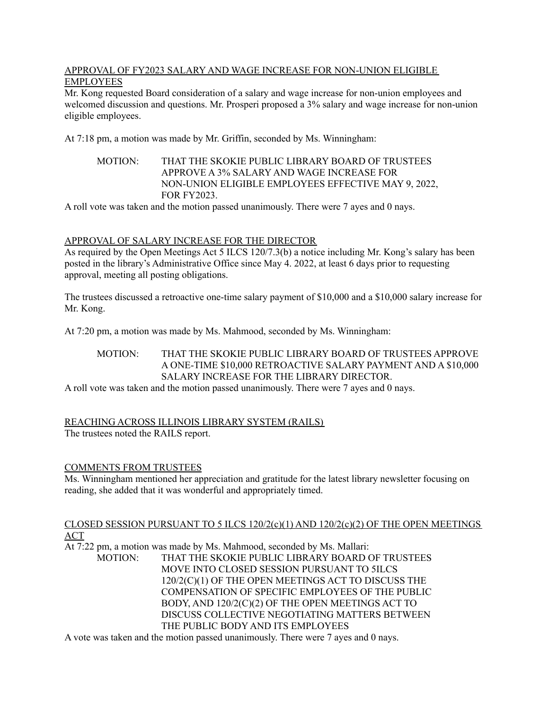### APPROVAL OF FY2023 SALARY AND WAGE INCREASE FOR NON-UNION ELIGIBLE EMPLOYEES

Mr. Kong requested Board consideration of a salary and wage increase for non-union employees and welcomed discussion and questions. Mr. Prosperi proposed a 3% salary and wage increase for non-union eligible employees.

At 7:18 pm, a motion was made by Mr. Griffin, seconded by Ms. Winningham:

# MOTION: THAT THE SKOKIE PUBLIC LIBRARY BOARD OF TRUSTEES APPROVE A 3% SALARY AND WAGE INCREASE FOR NON-UNION ELIGIBLE EMPLOYEES EFFECTIVE MAY 9, 2022, FOR FY2023.

A roll vote was taken and the motion passed unanimously. There were 7 ayes and 0 nays.

# APPROVAL OF SALARY INCREASE FOR THE DIRECTOR

As required by the Open Meetings Act 5 ILCS 120/7.3(b) a notice including Mr. Kong's salary has been posted in the library's Administrative Office since May 4. 2022, at least 6 days prior to requesting approval, meeting all posting obligations.

The trustees discussed a retroactive one-time salary payment of \$10,000 and a \$10,000 salary increase for Mr. Kong.

At 7:20 pm, a motion was made by Ms. Mahmood, seconded by Ms. Winningham:

# MOTION: THAT THE SKOKIE PUBLIC LIBRARY BOARD OF TRUSTEES APPROVE A ONE-TIME \$10,000 RETROACTIVE SALARY PAYMENT AND A \$10,000 SALARY INCREASE FOR THE LIBRARY DIRECTOR.

A roll vote was taken and the motion passed unanimously. There were 7 ayes and 0 nays.

### REACHING ACROSS ILLINOIS LIBRARY SYSTEM (RAILS) The trustees noted the RAILS report.

# COMMENTS FROM TRUSTEES

Ms. Winningham mentioned her appreciation and gratitude for the latest library newsletter focusing on reading, she added that it was wonderful and appropriately timed.

#### CLOSED SESSION PURSUANT TO 5 ILCS 120/2(c)(1) AND 120/2(c)(2) OF THE OPEN MEETINGS ACT

At 7:22 pm, a motion was made by Ms. Mahmood, seconded by Ms. Mallari:

MOTION: THAT THE SKOKIE PUBLIC LIBRARY BOARD OF TRUSTEES MOVE INTO CLOSED SESSION PURSUANT TO 5ILCS 120/2(C)(1) OF THE OPEN MEETINGS ACT TO DISCUSS THE COMPENSATION OF SPECIFIC EMPLOYEES OF THE PUBLIC BODY, AND 120/2(C)(2) OF THE OPEN MEETINGS ACT TO DISCUSS COLLECTIVE NEGOTIATING MATTERS BETWEEN THE PUBLIC BODY AND ITS EMPLOYEES

A vote was taken and the motion passed unanimously. There were 7 ayes and 0 nays.